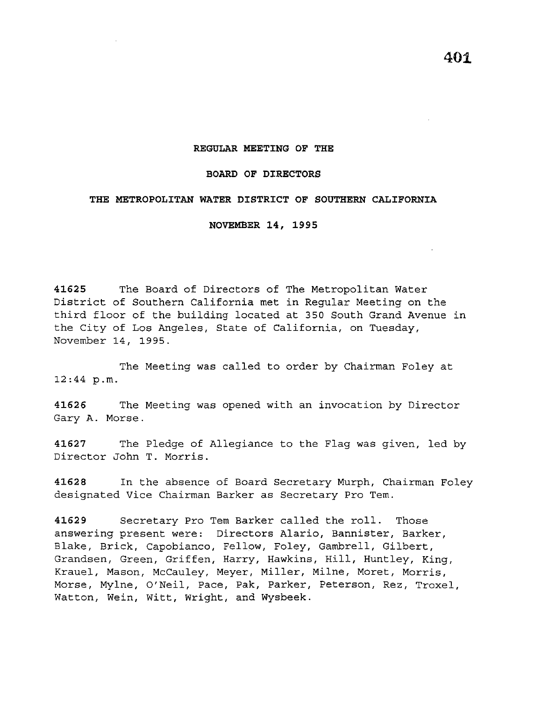## **REGULAR MEETING OF THE**

## **BOARD OF DIRECTORS**

## **THE METROPOLITAN WATER DISTRICT OF SOUTHERN CALIFORNIA**

**NOVEMBER 14, 1995** 

**41625** The Board of Directors of The Metropolitan Water District of Southern California met in Regular Meeting on the third floor of the building located at 350 South Grand Avenue in the City of Los Angeles, State of California, on Tuesday, November 14, 1995.

The Meeting was called to order by Chairman Foley at 12:44 p.m.

**41626** The Meeting was opened with an invocation by Director Gary A. Morse.

**41627** The Pledge of Allegiance to the Flag was given, led by Director John T. Morris.

**41628** In the absence of Board Secretary Murph, Chairman Foley designated Vice Chairman Barker as Secretary Pro Tem.

**41629** Secretary Pro Tern Barker called the roll. Those answering present were: Directors Alario, Bannister, Barker, Blake, Brick, Capobianco, Fellow, Foley, Gambrell, Gilbert, Grandsen, Green, Griffen, Harry, Hawkins, Hill, Huntley, King, Krauel, Mason, McCauley, Meyer, Miller, Milne, Moret, Morris, Morse, Mylne, O'Neil, Pace, Pak, Parker, Peterson, Rez, Troxel, Watton, Wein, Witt, Wright, and Wysbeek.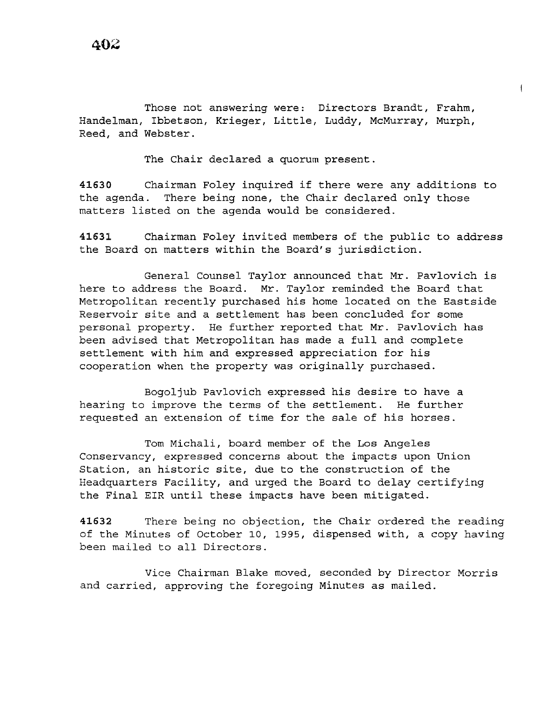Those not answering were: Directors Brandt, Frahm, Handelman, Ibbetson, Krieger, Little, Luddy, McMurray, Murph, Reed, and Webster.

The Chair declared a quorum present.

**<sup>41630</sup>**Chairman Foley inquired if there were any additions to the agenda. There being none, the Chair declared only those matters listed on the agenda would be considered.

**41631** Chairman Foley invited members of the public to address the Board on matters within the Board's jurisdiction.

General Counsel Taylor announced that Mr. Pavlovich is here to address the Board. Mr. Taylor reminded the Board that Metropolitan recently purchased his home located on the Eastside Reservoir site and a settlement has been concluded for some personal property. He further reported that Mr. Pavlovich has been advised that Metropolitan has made a full and complete settlement with him and expressed appreciation for his cooperation when the property was originally purchased.

Bogoljub Pavlovich expressed his desire to have a hearing to improve the terms of the settlement. He further requested an extension of time for the sale of his horses.

Tom Michali, board member of the Los Angeles Conservancy, expressed concerns about the impacts upon Union Station, an historic site, due to the construction of the Headquarters Facility, and urged the Board to delay certifying the Final EIR until these impacts have been mitigated.

**41632** There being no objection, the Chair ordered the reading of the Minutes of October 10, 1995, dispensed with, a copy having been mailed to all Directors.

Vice Chairman Blake moved, seconded by Director Morris and carried, approving the foregoing Minutes as mailed.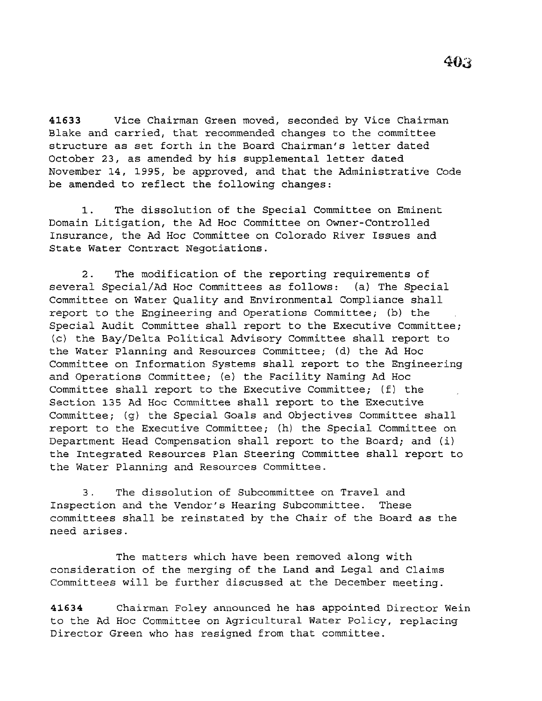**41633** Vice Chairman Green moved, seconded by Vice Chairman Blake and carried, that recommended changes to the committee structure as set forth in the Board Chairman's letter dated October 23, as amended by his supplemental letter dated November 14, 1995, be approved, and that the Administrative Code be amended to reflect the following changes:

1. The dissolution of the Special Committee on Eminent Domain Litigation, the Ad Hoc Committee on Owner-Controlled Insurance, the Ad Hoc Committee on Colorado River Issues and State Water Contract Negotiations.

2. The modification of the reporting requirements of several Special/Ad Hoc Committees as follows: (a) The Special Committee on Water Quality and Environmental Compliance shall report to the Engineering and Operations Committee; (b) the Special Audit Committee shall report to the Executive Committee; (c) the Bay/Delta Political Advisory Committee shall report to the Water Planning and Resources Committee; (d) the Ad Hoc Committee on Information Systems shall report to the Engineering and Operations Committee; (e) the Facility Naming Ad Hoc Committee shall report to the Executive Committee; (f) the Section 135 Ad Hoc Committee shall report to the Executive Committee; (g) the Special Goals and Objectives Committee shall report to the Executive Committee; (h) the Special Committee on Department Head Compensation shall report to the Board; and (i) the Integrated Resources Plan Steering Committee shall report to the Water Planning and Resources Committee.

3. The dissolution of Subcommittee on Travel and Inspection and the Vendor's Hearing Subcommittee. These committees shall be reinstated by the Chair of the Board as the need arises.

The matters which have been removed along with consideration of the merging of the Land and Legal and Claims Committees will be further discussed at the December meeting.

**41634** Chairman Foley announced he has appointed Director Wein to the Ad Hoc Committee on Agricultural Water Policy, replacing Director Green who has resigned from that committee.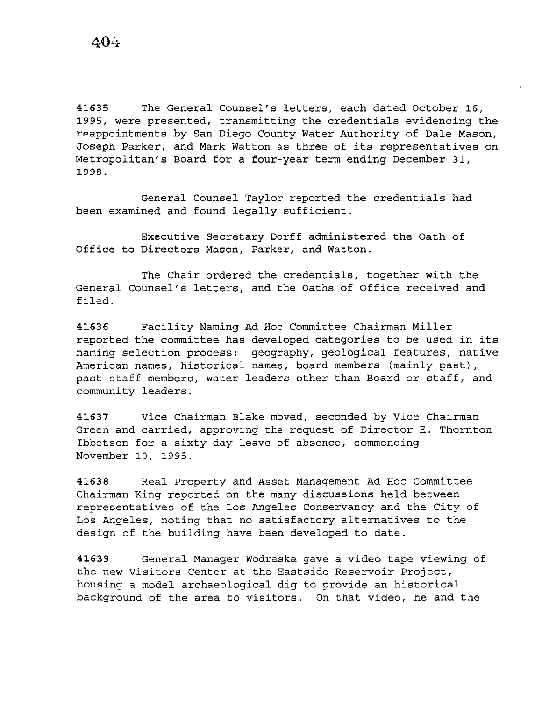41635 The General Counsel's letters, each dated October 16, 1995, were presented, transmitting the credentials evidencing the reappointments by San *Diego* County Water Authority of Dale Mason, Joseph Parker, and Mark Watton as three of its representatives on Metropolitan's Board for a four-year term ending December 31, 1998.

 $\overline{1}$ 

General Counsel Taylor reported the credentials had been examined and found legally sufficient.

Executive Secretary Dorff administered the Oath of Office to Directors Mason, Parker, and Watton.

The Chair ordered the credentials, together with the General Counsel's letters, and the Oaths of Office received and filed.

41636 Facility Naming Ad Hoc Committee Chairman Miller reported the committee has developed categories to be used in its naming selection process: geography, geological features, native American names, historical names, board members (mainly past), past staff members, water leaders other than Board or staff, and community leaders.

41637 Vice Chairman Blake moved, seconded by Vice Chairman Green and carried, approving the request of Director E. Thornton Ibbetson for a sixty-day leave of absence, commencing November 10, 1995.

41638 Real Property and Asset Management Ad Hoc Committee Chairman *King* reported on the many discussions held between representatives of the Los Angeles Conservancy and the City of Los Angeles, noting that no satisfactory alternatives to the design of the building have been developed to date.

41639 General Manager Wodraska gave a video tape viewing of the new Visitors Center at the Eastside Reservoir Project, housing a model archaeological dig to provide an historical background of the area to visitors. On that video, he and the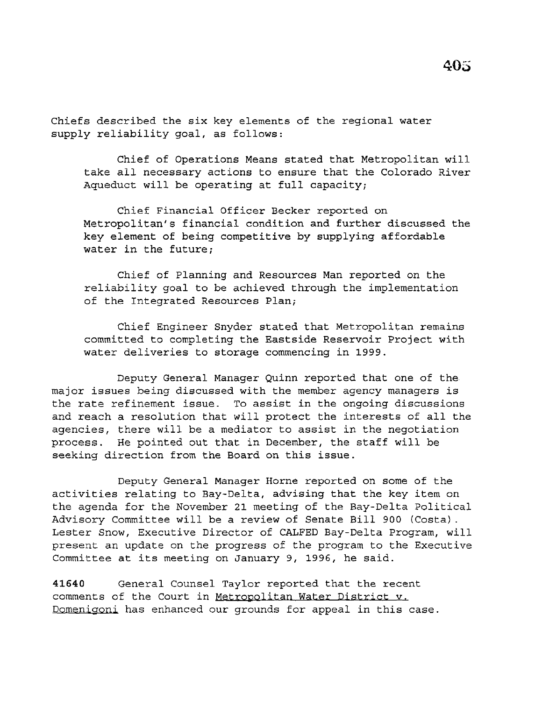Chiefs described the six key elements of the regional water supply reliability goal, as follows:

Chief of Operations Means stated that Metropolitan will take all necessary actions to ensure that the Colorado River Aqueduct will be operating at full capacity;

Chief Financial Officer Becker reported on Metropolitan's financial condition and further discussed the key element of being competitive by supplying affordable water in the future;

Chief of Planning and Resources Man reported on the reliability goal to be achieved through the implementation of the Integrated Resources Plan;

Chief Engineer Snyder stated that Metropolitan remains committed to completing the Eastside Reservoir Project with water deliveries to storage commencing in 1999.

Deputy General Manager Quinn reported that one of the major issues being discussed with the member agency managers is the rate refinement issue. To assist in the ongoing discussions and reach a resolution that will protect the interests of all the agencies, there will be a mediator to assist in the negotiation process. He pointed out that in December, the staff will be seeking direction from the Board on this issue.

Deputy General Manager Horne reported on some of the activities relating to Bay-Delta, advising that the key item on the agenda for the November 21 meeting of the Bay-Delta Political Advisory Committee will be a review of Senate Bill 900 (Costa) . Lester Snow, Executive Director of CALFED Bay-Delta Program, will present an update on the progress of the program to the Executive Committee at its meeting on January 9, 1996, he said.

**41640** General Counsel Taylor reported that the recent comments of the Court in Metropolitan Water District v. Domenigoni has enhanced our grounds for appeal in this case.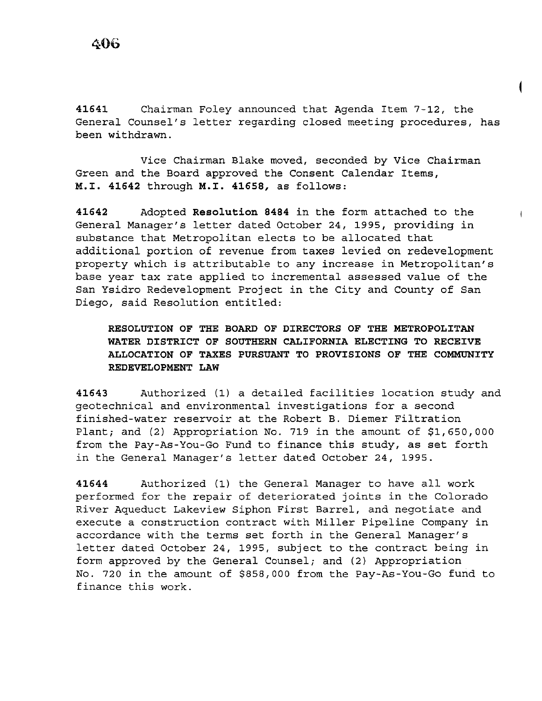**41641** Chairman Foley announced that Agenda Item 7-12, the General Counsel's letter regarding closed meeting procedures, has been withdrawn.

Vice Chairman Blake moved, seconded by Vice Chairman Green and the Board approved the Consent Calendar Items, **M.I. 41642** through **M.I. 41658,** as follows:

**41642** Adopted **Resolution 8484** in the form attached to the General Manager's letter dated October 24, 1995, providing in substance that Metropolitan elects to be allocated that additional portion of revenue from taxes levied on redevelopment property which is attributable to any increase in Metropolitan's base year tax rate applied to incremental assessed value of the San Ysidro Redevelopment Project in the City and County of San Diego, said Resolution entitled:

**RESOLUTION OF THE BOARD OF DIRECTORS OF THE METROPOLITAN WATER DISTRICT OF SOUTHERN CALIFORNIA ELECTING TO RECEIVE ALLOCATION OF TAXES PURSUANT TO PROVISIONS OF THE COMMUNITY REDEVELOPMENT LAW** 

**41643** Authorized (1) a detailed facilities location study and geotechnical and environmental investigations for a second finished-water reservoir at the Robert B. Diemer Filtration Plant; and (2) Appropriation No. 719 in the amount of \$1,650,000 from the Pay-As-You-Go Fund to finance this study, as set forth in the General Manager's letter dated October 24, 1995.

**<sup>41644</sup>**Authorized (1) the General Manager to have all work performed for the repair of deteriorated joints in the Colorado River Aqueduct Lakeview Siphon First Barrel, and negotiate and execute a construction contract with Miller Pipeline Company in accordance with the terms set forth in the General Manager's letter dated October 24, 1995, subject to the contract being in form approved by the General Counsel; and (2) Appropriation No. 720 in the amount of \$858,000 from the Pay-As-You-Go fund to finance this work.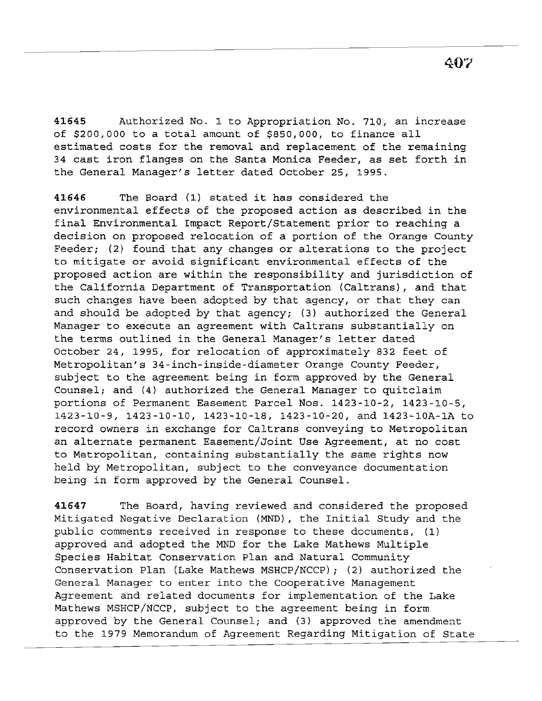**41645** Authorized No. 1 to Appropriation No. 710, an increase of \$200,000 to a total amount of \$850,000, to finance all estimated costs for the removal and replacement of the remaining 34 cast iron flanges on the Santa Monica Feeder, as set forth in the General Manager's letter dated October 25, 1995.

**<sup>41646</sup>**The Board (1) stated it has considered the environmental effects of the proposed action as described in the final Environmental Impact Report/Statement prior to reaching a decision on proposed relocation of a portion of the Orange County Feeder; (2) found that any changes or alterations to the project to mitigate or avoid significant environmental effects of the proposed action are within the responsibility and jurisdiction of the California Department of Transportation (Caltrans), and that such changes have been adopted by that agency, or that they can and should be adopted by that agency; (3) authorized the General Manager to execute an agreement with Caltrans substantially on the terms outlined in the General Manager's letter dated October 24, 1995, for relocation of approximately 832 feet of Metropolitan's 34-inch-inside-diameter Orange County Feeder, subject to the agreement being in form approved by the General Counsel; and (4) authorized the General Manager to quitclaim portions of Permanent Easement Parcel Nos. 1423-10-2, 1423-10-5, 1423-10-9, 1423-10-10, 1423-10-18, 1423-10-20, and 1423-lOA-lA to record owners in exchange for Caltrans conveying to Metropolitan an alternate permanent Easement/Joint Use Agreement, at no cost to Metropolitan, containing substantially the same rights now held by Metropolitan, subject to the conveyance documentation being in form approved by the General Counsel.

**41647** The Board, having reviewed and considered the proposed Mitigated Negative Declaration (MND), the Initial Study and the public comments received in response to these documents, (1) approved and adopted the MND for the Lake Mathews Multiple Species Habitat Conservation Plan and Natural Community Conservation Plan (Lake Mathews MSHCP/NCCP); (2) authorized the General Manager to enter into the Cooperative Management Agreement and related documents for implementation of the Lake Mathews MSHCP/NCCP, subject to the agreement being in form approved by the General Counsel; and (3) approved the amendment to the 1979 Memorandum of Agreement Regarding Mitigation of State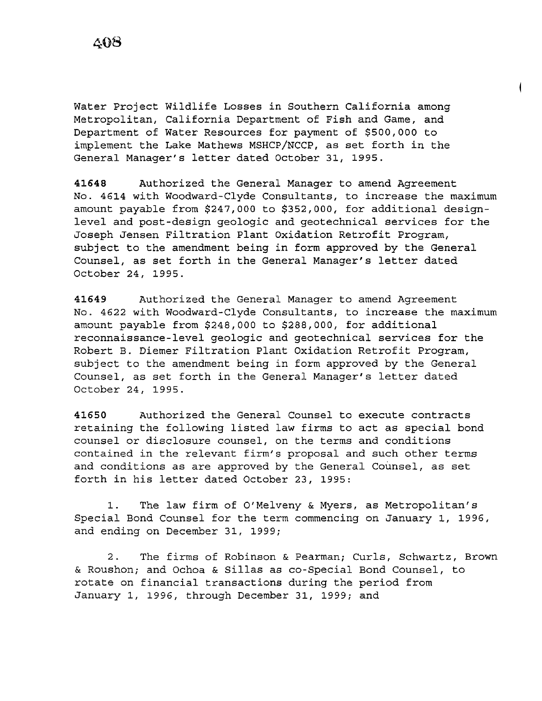Water Project Wildlife Losses in Southern California among Metropolitan, California Department of Fish and Game, and Department of Water Resources for payment of \$500,000 to implement the Lake Mathews MSHCP/NCCP, as set forth in the General Manager's letter dated October 31, 1995.

**41648** Authorized the General Manager to amend Agreement No. 4614 with Woodward-Clyde Consultants, to increase the maximum amount payable from \$247,000 to \$352,000, for additional designlevel and post-design geologic and geotechnical services for the Joseph Jensen Filtration Plant Oxidation Retrofit Program, subject to the amendment being in form approved by the General Counsel, as set forth in the General Manager's letter dated October 24, 1995.

**41649** Authorized the General Manager to amend Agreement No. 4622 with Woodward-Clyde Consultants, to increase the maximum amount payable from \$248,000 to \$288,000, for additional reconnaissance-level geologic and geotechnical services for the Robert B. Diemer Filtration Plant Oxidation Retrofit Program, subject to the amendment being in form approved by the General Counsel, as set forth in the General Manager's letter dated October 24, 1995.

**41650** Authorized the General Counsel to execute contracts retaining the following listed law firms to act as special bond counsel or disclosure counsel, on the terms and conditions contained in the relevant firm's proposal and such other terms and conditions as are approved by the General Counsel, as set forth in his letter dated October 23, 1995:

1. The law firm of O'Melveny & Myers, as Metropolitan's Special Bond Counsel for the term commencing on January 1, 1996, and ending on December 31, 1999;

2. The firms of Robinson & Pearman; Curls, Schwartz, Brown & Roushon; and Ochoa & Sillas as co-Special Bond Counsel, to rotate on financial transactions during the period from January 1, 1996, through December 31, 1999; and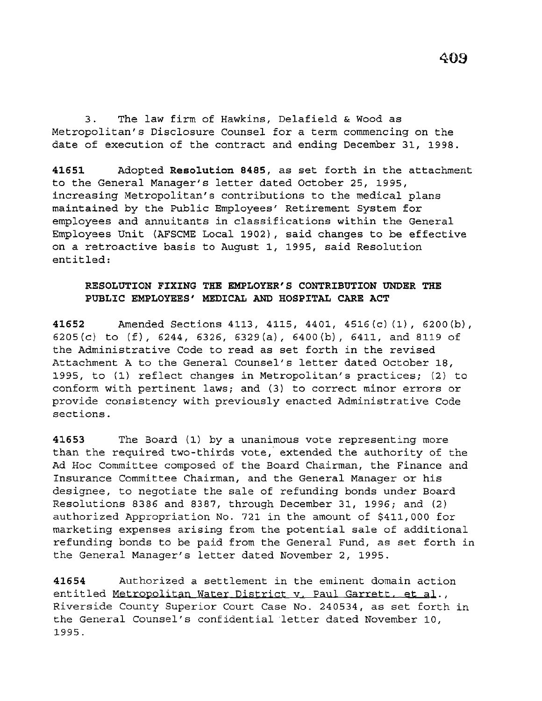3. The law firm of Hawkins, Delafield & Wood as Metropolitan's Disclosure Counsel for a term commencing on the date of execution of the contract and ending December 31, 1998.

**41651** Adopted **Resolution 8485,** as set forth *in* the attachment to the General Manager's letter dated October 25, 1995, increasing Metropolitan's contributions to the medical plans maintained by the Public Employees' Retirement System for employees and annuitants in classifications within the General Employees Unit (AFSCME Local 1902), said changes to be effective on a retroactive basis to August 1, 1995, said Resolution entitled:

## **RESOLUTION FIXING THE EMPLOYER'S CONTRIBUTION UNDER THE PUBLIC EMPLOYEES' MEDICAL AND HOSPITAL CARE ACT**

**41652** Amended Sections 4113, 4115, 4401, 4516(c) (1), 6200(b), 6205(c) to  $(f)$ , 6244, 6326, 6329(a), 6400(b), 6411, and 8119 of the Administrative Code to read as set forth in the revised Attachment A to the General Counsel's letter dated October 18, 1995, to (1) reflect changes in Metropolitan's practices; (2) to conform with pertinent laws; and (3) to correct minor errors or provide consistency with previously enacted Administrative Code sections.

**41653** The Board (1) by a unanimous vote representing more than the required two-thirds vote, extended the authority of the Ad Hoc Committee composed of the Board Chairman, the Finance and Insurance Committee Chairman, and the General Manager or his designee, to negotiate the sale of refunding bonds under Board Resolutions 8386 and 8387, through December 31, 1996; and (2) authorized Appropriation No. 721 in the amount of \$411,000 for marketing expenses arising from the potential sale of additional refunding bonds to be paid from the General Fund, as set forth in the General Manager's letter dated November 2, 1995.

**41654** Authorized a settlement in the eminent domain action entitled Metropolitan Water District v. Paul Garrett, et al., Riverside County Superior Court Case No. 240534, as set forth in the General Counsel's confidential letter dated November 10, 1995.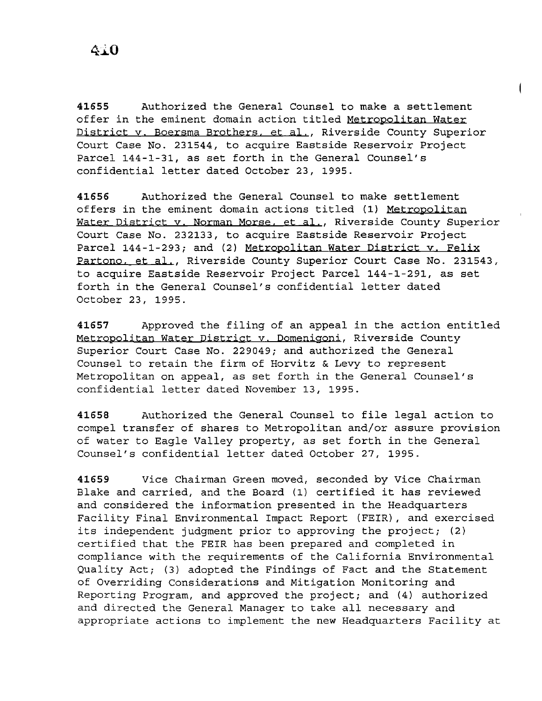**41655** Authorized the General Counsel to make a settlement offer in the eminent domain action titled Metropolitan Water District v. Boersma Brothers, et al., Riverside County Superior Court Case No. 231544, to acquire Eastside Reservoir Project Parcel 144-1-31, as set forth in the General Counsel's confidential letter dated October *23,* 1995.

**41656** Authorized the General Counsel to make settlement offers in the eminent domain actions titled (1) Metropolitan Water District v. Norman Morse. et *al.,* Riverside County Superior Court Case No. 232133, to acquire Eastside Reservoir Project Parcel 144-1-293; and (2) Metropolitan Water District v. Felix Partono. et *al.,* Riverside County Superior Court Case No. 231543, to acquire Eastside Reservoir Project Parcel 144-1-291, as set forth in the General Counsel's confidential letter dated October *23,* 1995.

**41657** Approved the filing of an appeal in the action entitled Metropolitan Water District v. Domenigoni, Riverside County Superior Court Case No. 229049; and authorized the General Counsel to retain the firm of Horvitz & Levy to represent Metropolitan on appeal, as set forth in the General Counsel's confidential letter dated November 13, 1995.

**<sup>41658</sup>**Authorized the General Counsel to file legal action to compel transfer of shares to Metropolitan and/or assure provision of water to Eagle Valley property, as set forth in the General Counsel's confidential letter dated October 27, 1995.

**41659** Vice Chairman Green moved, seconded by Vice Chairman Blake and carried, and the Board (1) certified it has reviewed and considered the information presented in the Headquarters Facility Final Environmental Impact Report (FEIR) *,* and exercised its independent judgment prior to approving the project; (2) certified that the FEIR has been prepared and completed in compliance with the requirements of the California Environmental Quality Act; (3) adopted the Findings of Fact and the Statement of Overriding Considerations and Mitigation Monitoring and Reporting Program, and approved the project; and (4) authorized and directed the General Manager to take all necessary and appropriate actions to implement the new Headquarters Facility at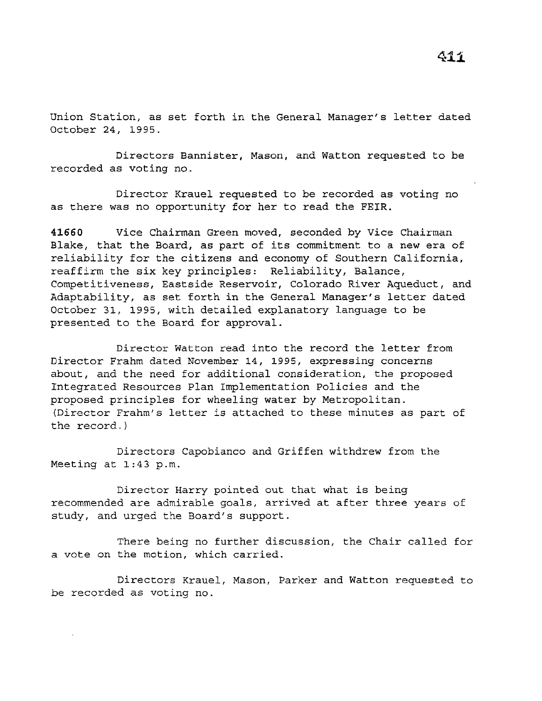Union Station, as set forth in the General Manager's letter dated October 24, 1995.

Directors Bannister, Mason, and Watton requested to be recorded as voting no.

Director Krauel requested to be recorded as voting no as there was no opportunity for her to read the FEIR.

**41660** Vice Chairman Green moved, seconded by *Vice* Chairman Blake, that the Board, as part of its commitment to a new era of reliability for the citizens and economy of Southern California, reaffirm the six key principles: Reliability, Balance, Competitiveness, Eastside Reservoir, Colorado River Aqueduct, and Adaptability, as set forth in the General Manager's letter dated October 31, 1995, with detailed explanatory language to be presented to the Board for approval.

Director Watton read into the record the letter from Director Frahm dated November 14, 1995, expressing concerns about, and the need for additional consideration, the proposed Integrated Resources Plan Implementation Policies and the proposed principles for wheeling water by Metropolitan. (Director Frahm's letter is attached to these minutes as part of the record.)

Directors Capobianco and Griffen withdrew from the Meeting at 1:43 p.m.

Director Harry pointed out that what is being recommended are admirable goals, arrived at after three years of study, and urged the Board's support.

There being no further discussion, the Chair called for a vote on the motion, which carried.

Directors Krauel, Mason, Parker and Watton requested to be recorded as voting no.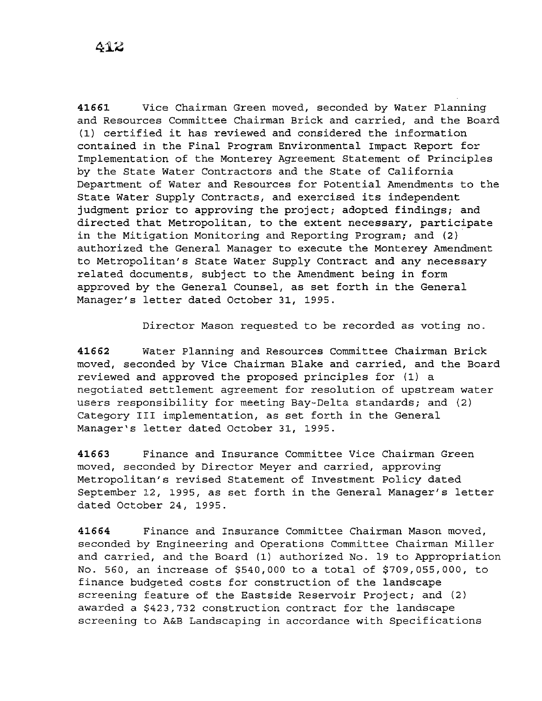**41661** Vice Chairman Green moved, seconded by Water Planning and Resources Committee Chairman Brick and carried, and the Board (1) certified it has reviewed and considered the information contained in the Final Program Environmental Impact Report for Implementation of the Monterey Agreement Statement of Principles by the State Water Contractors and the State of California Department of Water and Resources for Potential Amendments to the State Water Supply Contracts, and exercised its independent judgment prior to approving the project; adopted findings; and directed that Metropolitan, to the extent necessary, participate in the Mitigation Monitoring and Reporting Program; and (2) authorized the General Manager to execute the Monterey Amendment to Metropolitan's State Water Supply Contract and any necessary related documents, subject to the Amendment being in form approved by the General Counsel, as set forth in the General Manager's letter dated October 31, 1995.

Director Mason requested to be recorded as voting no.

**41662** Water Planning and Resources Committee Chairman Brick moved, seconded by Vice Chairman Blake and carried, and the Board reviewed and approved the proposed principles for (1) a negotiated settlement agreement for resolution of upstream water users responsibility for meeting Bay-Delta standards; and (2) Category III implementation, as set forth in the General Manager's letter dated October 31, 1995.

**41663** Finance and Insurance Committee Vice Chairman Green moved, seconded by Director Meyer and carried, approving Metropolitan's revised Statement of Investment Policy dated September 12, 1995, as set forth in the General Manager's letter dated October 24, 1995.

**41664** Finance and Insurance Committee Chairman Mason moved, seconded by Engineering and Operations Committee Chairman Miller and carried, and the Board (1) authorized No. 19 to Appropriation No. 560, an increase of \$540,000 to a total of \$709,055,000, to finance budgeted costs for construction of the landscape screening feature of the Eastside Reservoir Project; and (2) awarded a \$423,732 construction contract for the landscape screening to A&B Landscaping in accordance with Specifications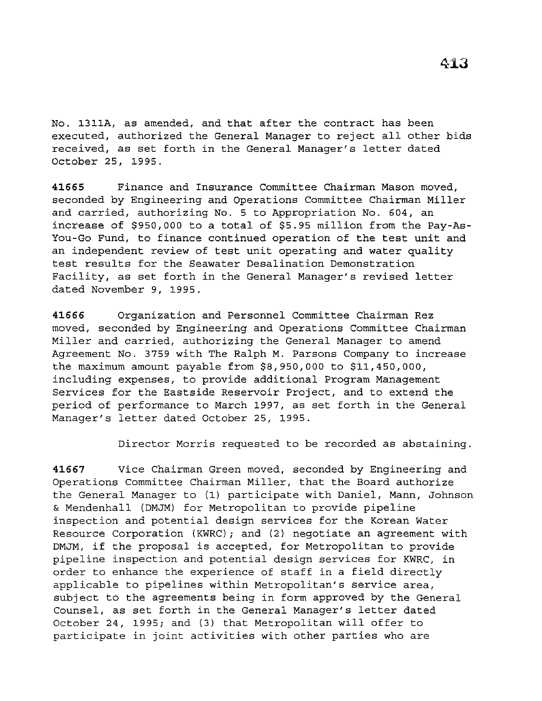No. 1311A, as amended, and that after the contract has been executed, authorized the General Manager to reject all other bids received, as set forth in the General Manager's letter dated October 25, 1995.

**41665** Finance and Insurance Committee Chairman Mason moved, seconded by Engineering and Operations Committee Chairman Miller and carried, authorizing No. 5 to Appropriation No. 604, an increase of \$950,000 to a total of \$5.95 million from the Pay-As-You-Go Fund, to finance continued operation of the test unit and an independent review of test unit operating and water quality test results for the Seawater Desalination Demonstration Facility, as set forth in the General Manager's revised letter dated November 9, 1995.

**41666** Organization and Personnel Committee Chairman Rez moved, seconded by Engineering and Operations Committee Chairman Miller and carried, authorizing the General Manager to amend Agreement No. 3759 with The Ralph M. Parsons Company to increase the maximum amount payable from \$8,950,000 to \$11,450,000, including expenses, to provide additional Program Management Services for the Eastside Reservoir Project, and to extend the period of performance to March 1997, as set forth in the General Manager's letter dated October 25, 1995.

Director Morris requested to be recorded as abstaining.

**41667** Vice Chairman Green moved, seconded by Engineering and Operations Committee Chairman Miller, that the Board authorize the General Manager to (1) participate with Daniel, Mann, Johnson & Mendenhall (DMJM) for Metropolitan to provide pipeline inspection and potential design services for the Korean Water Resource Corporation (KWRC); and (2) negotiate an agreement with DMJM, if the proposal is accepted, for Metropolitan to provide pipeline inspection and potential design services for KWRC, in order to enhance the experience of staff in a field directly applicable to pipelines within Metropolitan's service area, subject to the agreements being in form approved by the General Counsel, as set forth in the General Manager's letter dated October 24, 1995; and (3) that Metropolitan will offer to participate in joint activities with other parties who are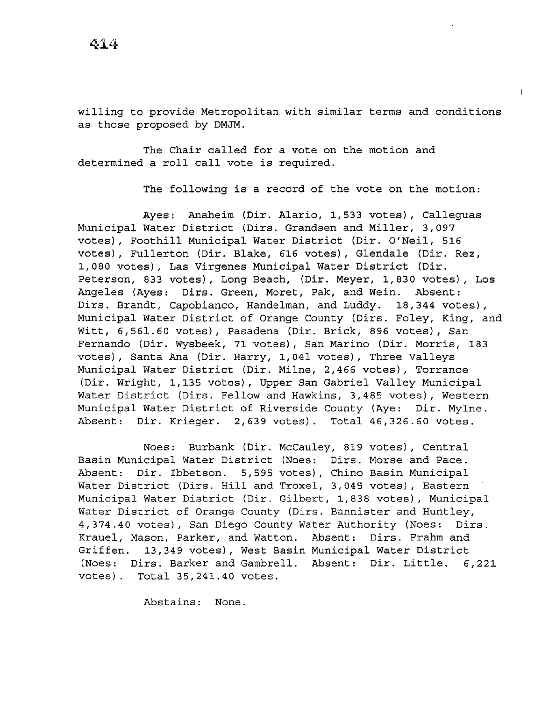willing to provide Metropolitan with similar terms and conditions as those proposed by DMJM.

The Chair called for a vote on the motion and determined a roll call vote is required.

The following is a record of the vote on the motion:

Ayes: Anaheim (Dir. Alaric, 1,533 votes), Calleguas Municipal Water District (Dirs. Grandsen and Miller, 3,097 votes), Foothill Municipal Water District (Dir. O'Neil, 516 votes), Fullerton (Dir. Blake, 616 votes), Glendale (Dir. Rez, 1,080 votes), Las Virgenes Municipal Water District (Dir. Peterson, 833 votes), Long Beach, (Dir. Meyer, 1,830 votes), Los Angeles (Ayes: Dirs. Green, Moret, Pak, and Wein. Absent: Dirs. Brandt, Capobianco, Handelman, and Luddy. 18,344 votes), Municipal Water District of Orange County (Dirs. Foley, King, and Witt, 6,561.60 votes), Pasadena (Dir. Brick, 896 votes), San Fernando (Dir. Wysbeek, 71 votes), San Marino (Dir. Morris, 183 votes), Santa Ana (Dir. Harry, 1,041 votes), Three Valleys Municipal Water District (Dir. Milne, 2,466 votes), Torrance (Dir. Wright, 1,135 votes), Upper San Gabriel Valley Municipal Water District (Dirs. Fellow and Hawkins, 3,485 votes), Western Municipal Water District of Riverside County (Aye: Dir. Mylne. Absent: Dir. Krieger. 2,639 votes). Total 46,326.60 votes.

Noes: Burbank (Dir. McCauley, 819 votes), Central Basin Municipal Water District (Noes: Dirs. Morse and Pace. Absent: Dir. Ibbetson. 5,595 votes), Chino Basin Municipal Water District (Dirs. Hill and Troxel, 3,045 votes), Eastern Municipal Water District *(Dir.* Gilbert, 1,838 votes), Municipal Water District of Orange County (Dirs. Bannister and Huntley, 4,374.40 votes), San Diego County Water Authority (Noes: Dirs. Krauel, Mason, Parker, and Watton. Absent: *Dirs.* Frahm and Griffen. 13,349 votes), West Basin Municipal Water District (Noes: Dirs. Barker and Gambrell. Absent: Dir. Little. 6,221 votes). Total 35,241.40 votes.

Abstains: None.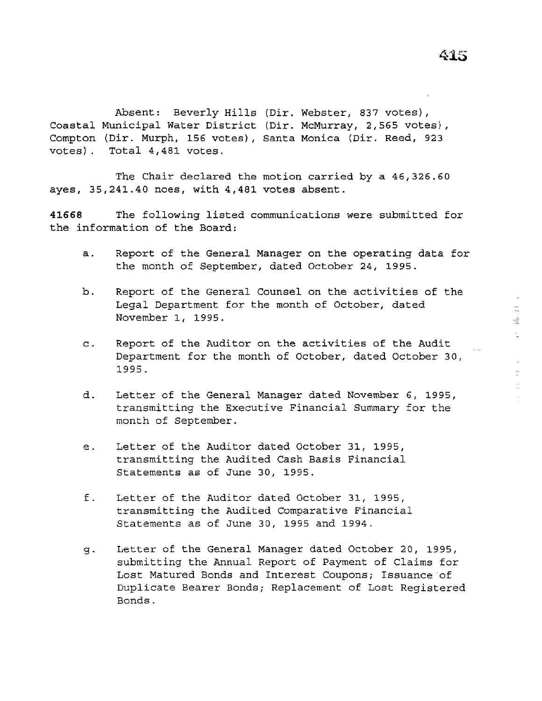Coastal Municipal Water District (Dir. McMurray, 2,565 votes), Compton (Dir. Murph, 156 votes), Santa Monica (Dir. Reed, 923 votes) . Absent: Beverly Hills (Dir. Webster, 837 votes), Total 4,481 votes.

The Chair declared the motion carried by a 46,326.60 ayes, 35,241.40 noes, with 4,481 votes absent.

**41668** The following listed communications were submitted for the information of the Board:

- a. Report of the General Manager on the operating data for the month of September, dated October 24, 1995.
- b. Report of the General Counsel on the activities of the Legal Department for the month of October, dated November 1, 1995.
- c. Report of the Auditor on the activities of the Audit Department for the month of October, dated October 30, 1995.
- d. Letter of the General Manager dated November 6, 1995, transmitting the Executive Financial Summary for the month of September.
- e. Letter of the Auditor dated October 31, 1995, transmitting the Audited Cash Basis Financial Statements as of June 30, 1995.
- f. Letter of the Auditor dated October 31, 1995, transmitting the Audited Comparative Financial Statements as of June 30, 1995 and 1994.
- g. Letter of the General Manager dated October 20, 1995, submitting the Annual Report of Payment of Claims for Lost Matured Bonds and Interest Coupons; Issuance of Duplicate Bearer Bonds; Replacement of Lost Registered Bonds.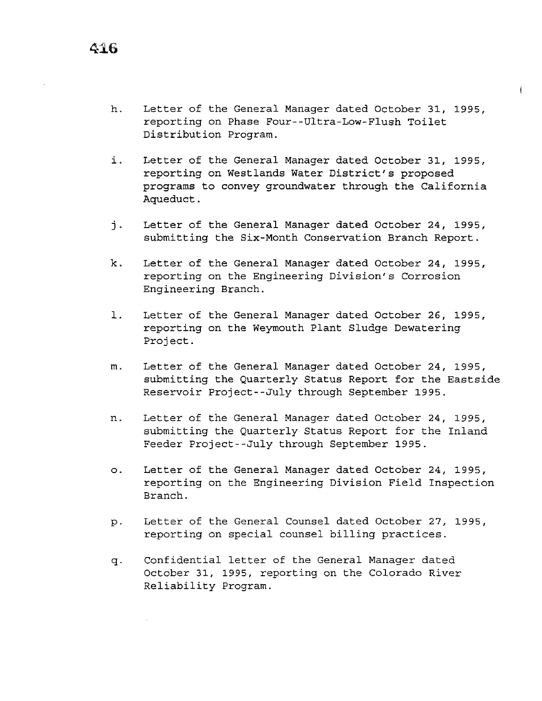- h. Letter of the General Manager dated October 31, 1995, reporting on Phase Four--Ultra-Low-Flush Toilet Distribution Program.
- i. Letter of the General Manager dated October 31, 1995, reporting on Westlands Water District's proposed programs to convey groundwater through the California Aqueduct.
- j. Letter of the General Manager dated October 24, 1995, submitting the Six-Month Conservation Branch Report.
- k. Letter of the General Manager dated October 24, 1995, reporting on the Engineering Division's Corrosion Engineering Branch.
- l. Letter of the General Manager dated October 26, 1995, reporting on the Weymouth Plant Sludge Dewatering Project.
- m. Letter of the General Manager dated October 24, 1995, submitting the Quarterly Status Report for the Eastside Reservoir Project--July through September 1995.
- n. Letter of the General Manager dated October 24, 1995, submitting the Quarterly Status Report for the Inland Feeder Project--July through September 1995.
- o. Letter of the General Manager dated October 24, 1995, reporting on the Engineering Division Field Inspection Branch.
- p. Letter of the General Counsel dated October 27, 1995, reporting on special counsel billing practices.
- q. Confidential letter of the General Manager dated October 31, 1995, reporting on the Colorado River Reliability Program.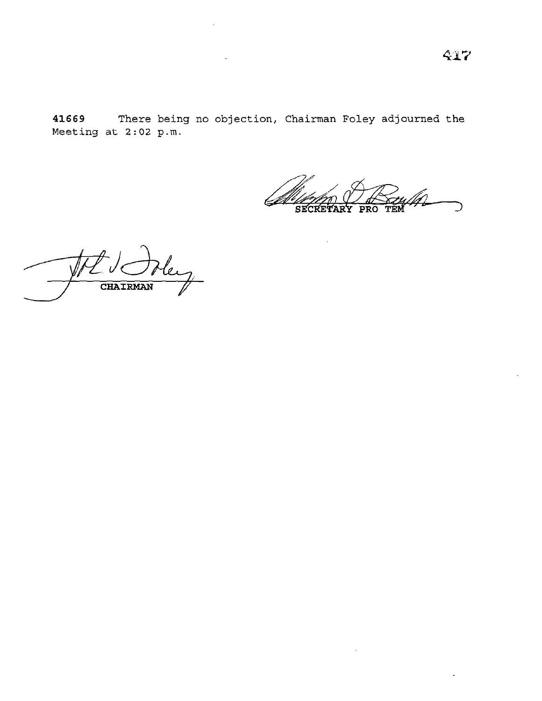**41669** There being no objection, Chairman Foley adjourned the Meeting at  $2:02$  p.m.

) SECRETARY PRO TEM

 $\bar{z}$ 

CHAIRMAN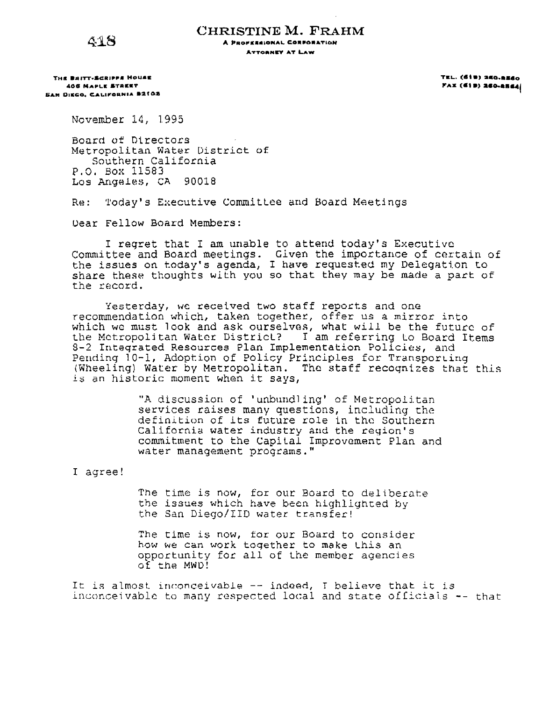4:18

**CHRISTINE M. FRAHM** 

**A PROFESSIONAL CORPORATION ATTORNEY AT LAW** 

**THE BRITT-SCRIPPS HOUSE 408 MAPLIE &TAIE.'r &AN DI&GO. C.AL.IP'ORNIA a2.t0a**  **TaL. (et ., a.•a·•••o PAX (619) 260-2564(** 

November 14, 1995

Bonrd of Directors Metropolitan Water District of Southern California P.O. Box 11583 Los Angeles, CA 90018

Re: 'l'oday's Executive Committee and Board Meetings

Dear Fellow Board Members:

I regret that I am unable to attend today's Executive Committee and Board meetings. Given the importance of certain of the issues on today's agenda, I have requested my Delegation to ene issues on moday 3 agenda, I have requested my bereghtton to the record.

Yesterday, we received two staff reports and one recommendation which, taken together, offer us a mirror into which we must look and ask ourselves, what will be the future of the Mctropoljtan Water Districl? I am referring Lo Board Items 8-2 Integrated Resources Plan Implementation Policies, and Pending 10-1, Adoption of Policy Principles for Transporting (Wheeling) Water by Metropolitan. The staff recognizes that this is an historic moment when it says,

> "A discussion of 'unbundling' of Metropolitan services raises many questions, including the definition of its future role in the Southern California water industry and the region's commitment to the Capital Improvament Plan and water management programs."

<sup>I</sup>agree!

The time is now, for our Board to deliberate the issues which have been highlighted by the San Diego/IID water transfer!

The time is now, for our Board to consider how we can work toqether to make Lhis an opportunity for all of the member agencies of the MWD!

It is almost inconceivable  $--$  indeed, I believe that it is inconceivable to many respected local and state officials -- that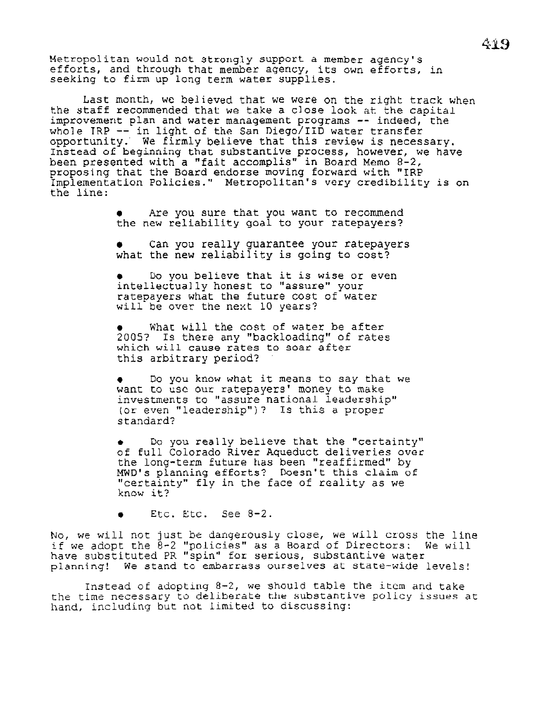Metropolitan would not strongly support. a member agency's efforts, and through that member agency, its own efforts, in seeking to firn up long term water supplies.

Last month, we believed that we were on the right track when<br>the staff recommended that we take a close look at the capital improvement plan and water management programs -- indeed, the Improvement pian and water management programs -- indeed, opportunity. We firmly believe that this review is necessary. Instead of beginning that substantive process, however, we have been presented with a "fait accomplis" in Board Memo 8-2, proposing that the Board endorse moving forward with "IRP Implementation Policies." Metropolitan's very credibility is on the line:

- Are you sure that you want to recommend the new reliability goal to your ratepayers?
- Can you really guarantee your ratepayers what the new reliability is going to cost?

• Do you believe that it is wise or even intellectually honest to "assure" your ratepayers what the future cost of water will be over the next 10 years?

What will the cost of water be after 2005? Is there any "backloading" of rates which will cause rates to soar after this arbitrary period?

Do you know what it means to say that we want to usc our ratepayers' money to make investments to "assure national leadership'' (or even "leadership")? Is this a proper standard?

Do you really believe that the "certainty" of full Colorado River Aqueduct deliveries over the long-term future has been "reaffirmed" by MWD's planning efforts? Doesn't this claim of "certainty" fly in the face of reality as we know it?

• Etc. Etc. See 8-2.

No, we will not just be dangerously close, we will cross the line if we adopt the 8-2 ''policies" as a Board of Directors: We will have substituted PR ''spin" for serious, substantive water planning! We stand to embarrass ourselves at state-wide levels!

Instead of adopting 8-2, we should table the item and take the time necessary to deliberate the substantive policy issues at hand, including but not limited to discussing: